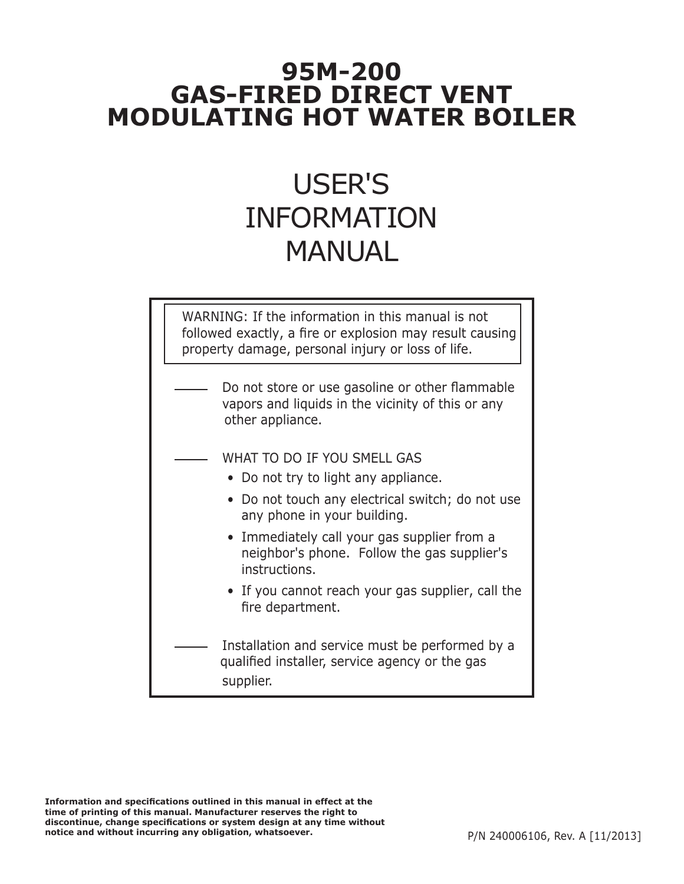# **95M-200 GAS-FIRED DIRECT VENT MODULATING HOT WATER BOILER**

# USER'S INFORMATION MANUAL

WARNING: If the information in this manual is not followed exactly, a fire or explosion may result causing property damage, personal injury or loss of life.

- Do not store or use gasoline or other flammable vapors and liquids in the vicinity of this or any other appliance.
	- WHAT TO DO IF YOU SMELL GAS
		- Do not try to light any appliance.
		- Do not touch any electrical switch; do not use any phone in your building.
		- Immediately call your gas supplier from a neighbor's phone. Follow the gas supplier's instructions.
		- If you cannot reach your gas supplier, call the fire department.
- Installation and service must be performed by a qualified installer, service agency or the gas supplier.

**Information and specifications outlined in this manual in effect at the time of printing of this manual. Manufacturer reserves the right to discontinue, change specifications or system design at any time without notice and without incurring any obligation, whatsoever.**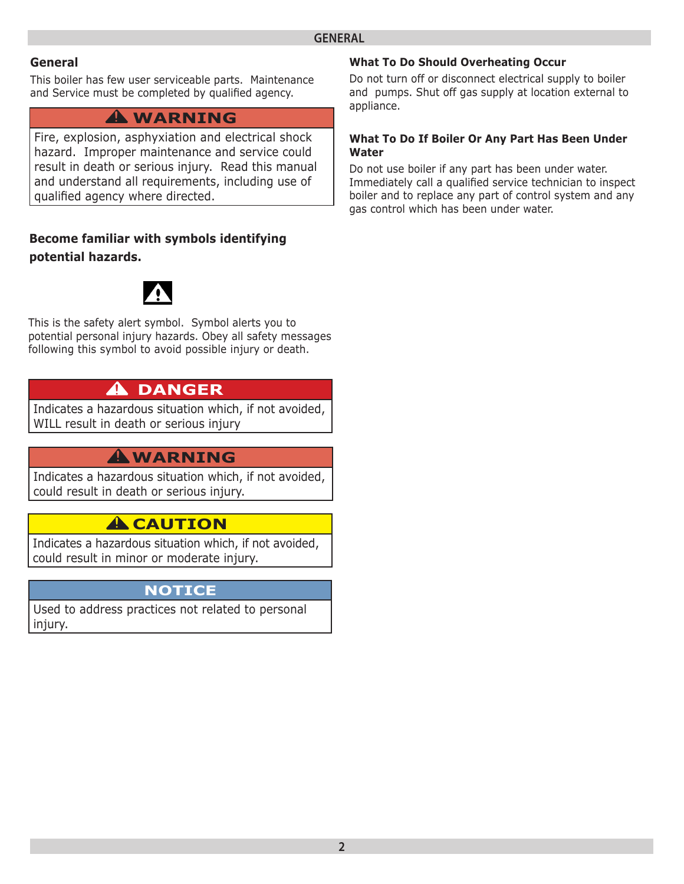#### **General**

This boiler has few user serviceable parts. Maintenance and Service must be completed by qualified agency.

## **WARNING !**

Fire, explosion, asphyxiation and electrical shock hazard. Improper maintenance and service could result in death or serious injury. Read this manual and understand all requirements, including use of qualified agency where directed.

#### **Become familiar with symbols identifying potential hazards.**



This is the safety alert symbol. Symbol alerts you to potential personal injury hazards. Obey all safety messages following this symbol to avoid possible injury or death.

# **DANGER !**

Indicates a hazardous situation which, if not avoided, WILL result in death or serious injury

# **WARNING !**

Indicates a hazardous situation which, if not avoided, could result in death or serious injury.

# **A** CAUTION

Indicates a hazardous situation which, if not avoided, could result in minor or moderate injury.

#### **NOTICE**

Used to address practices not related to personal injury.

#### **What To Do Should Overheating Occur**

Do not turn off or disconnect electrical supply to boiler and pumps. Shut off gas supply at location external to appliance.

#### **What To Do If Boiler Or Any Part Has Been Under Water**

Do not use boiler if any part has been under water. Immediately call a qualified service technician to inspect boiler and to replace any part of control system and any gas control which has been under water.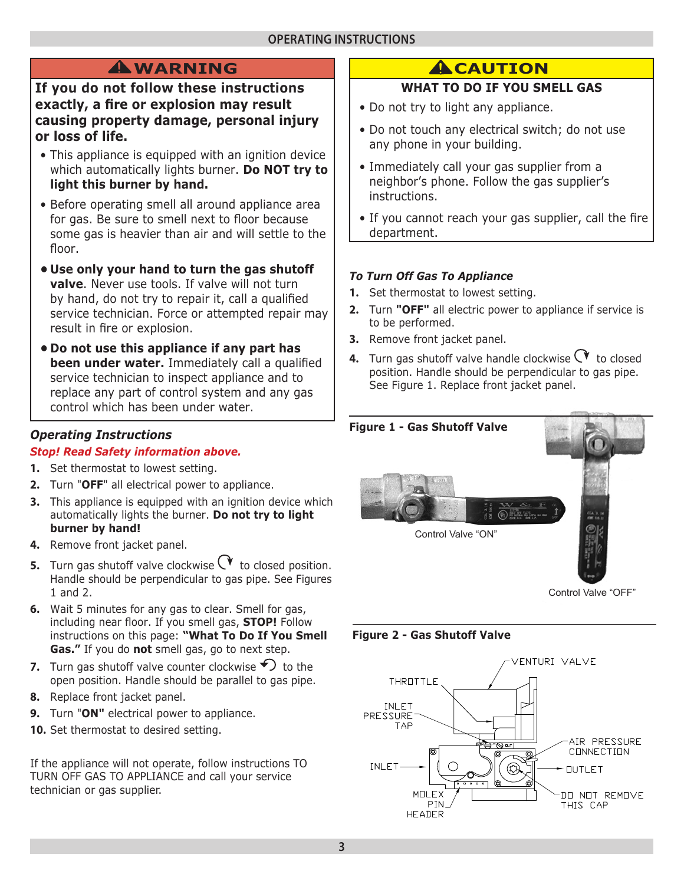# **WARNING !**

**If you do not follow these instructions exactly, a fire or explosion may result causing property damage, personal injury or loss of life.**

- This appliance is equipped with an ignition device which automatically lights burner. **Do NOT try to light this burner by hand.**
- Before operating smell all around appliance area for gas. Be sure to smell next to floor because some gas is heavier than air and will settle to the floor.
- **• Use only your hand to turn the gas shutoff valve**. Never use tools. If valve will not turn by hand, do not try to repair it, call a qualified service technician. Force or attempted repair may result in fire or explosion.
- **• Do not use this appliance if any part has been under water.** Immediately call a qualified service technician to inspect appliance and to replace any part of control system and any gas control which has been under water.

## *Operating Instructions*

#### *Stop! Read Safety information above.*

- **1.** Set thermostat to lowest setting.
- **2.** Turn "**OFF**" all electrical power to appliance.
- **3.** This appliance is equipped with an ignition device which automatically lights the burner. **Do not try to light burner by hand!**
- **4.** Remove front jacket panel.
- **5.** Turn gas shutoff valve clockwise  $\forall$  to closed position. Handle should be perpendicular to gas pipe. See Figures 1 and 2.
- **6.** Wait 5 minutes for any gas to clear. Smell for gas, including near floor. If you smell gas, **STOP!** Follow instructions on this page: **"What To Do If You Smell Gas."** If you do **not** smell gas, go to next step.
- **7.** Turn gas shutoff valve counter clockwise  $\bigcirc$  to the open position. Handle should be parallel to gas pipe.
- **8.** Replace front jacket panel.
- **9.** Turn "**ON"** electrical power to appliance.
- **10.** Set thermostat to desired setting.

If the appliance will not operate, follow instructions TO TURN OFF GAS TO APPLIANCE and call your service technician or gas supplier.

# **A**CAUTION

### **WHAT TO DO IF YOU SMELL GAS**

- Do not try to light any appliance.
- Do not touch any electrical switch; do not use any phone in your building.
- Immediately call your gas supplier from a neighbor's phone. Follow the gas supplier's instructions.
- If you cannot reach your gas supplier, call the fire department.

#### *To Turn Off Gas To Appliance*

- **1.** Set thermostat to lowest setting.
- **2.** Turn **"OFF"** all electric power to appliance if service is to be performed.
- **3.** Remove front jacket panel.
- **4.** Turn gas shutoff valve handle clockwise  $\forall$  to closed position. Handle should be perpendicular to gas pipe. See Figure 1. Replace front jacket panel.



#### **Figure 2 - Gas Shutoff Valve**